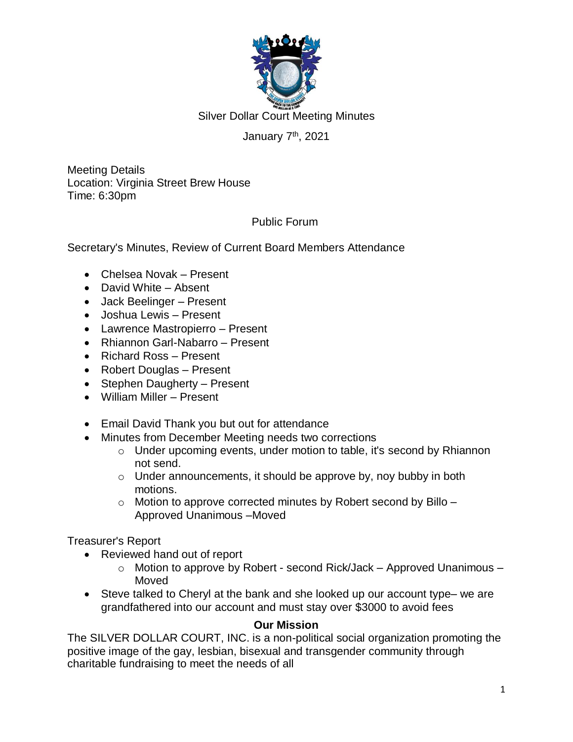

Silver Dollar Court Meeting Minutes

## January 7<sup>th</sup>, 2021

Meeting Details Location: Virginia Street Brew House Time: 6:30pm

## Public Forum

Secretary's Minutes, Review of Current Board Members Attendance

- Chelsea Novak Present
- David White Absent
- Jack Beelinger Present
- Joshua Lewis Present
- Lawrence Mastropierro Present
- Rhiannon Garl-Nabarro Present
- Richard Ross Present
- Robert Douglas Present
- Stephen Daugherty Present
- William Miller Present
- Email David Thank you but out for attendance
- Minutes from December Meeting needs two corrections
	- o Under upcoming events, under motion to table, it's second by Rhiannon not send.
	- o Under announcements, it should be approve by, noy bubby in both motions.
	- $\circ$  Motion to approve corrected minutes by Robert second by Billo Approved Unanimous –Moved

Treasurer's Report

- Reviewed hand out of report
	- o Motion to approve by Robert second Rick/Jack Approved Unanimous Moved
- Steve talked to Cheryl at the bank and she looked up our account type– we are grandfathered into our account and must stay over \$3000 to avoid fees

#### **Our Mission**

The SILVER DOLLAR COURT, INC. is a non-political social organization promoting the positive image of the gay, lesbian, bisexual and transgender community through charitable fundraising to meet the needs of all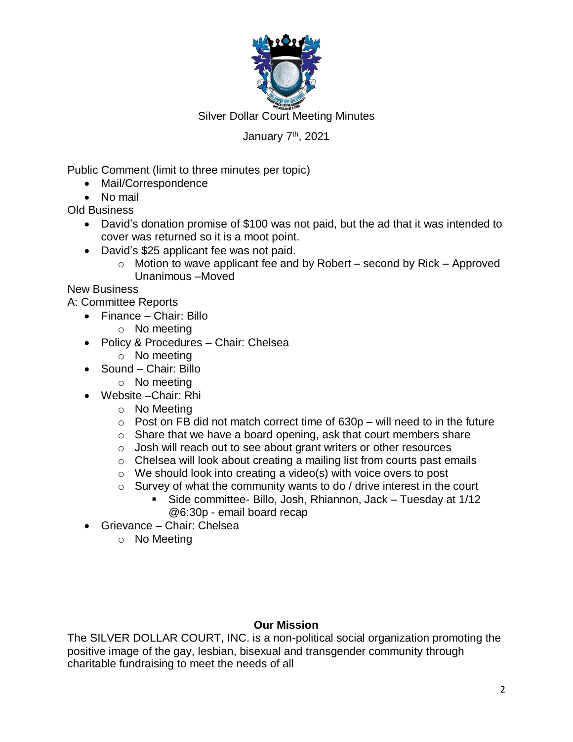

Silver Dollar Court Meeting Minutes

## January 7<sup>th</sup>, 2021

Public Comment (limit to three minutes per topic)

- Mail/Correspondence
- No mail

Old Business

- David's donation promise of \$100 was not paid, but the ad that it was intended to cover was returned so it is a moot point.
- David's \$25 applicant fee was not paid.
	- $\circ$  Motion to wave applicant fee and by Robert second by Rick Approved Unanimous –Moved

New Business

A: Committee Reports

- Finance Chair: Billo
	- o No meeting
- Policy & Procedures Chair: Chelsea
	- o No meeting
- Sound Chair: Billo
	- o No meeting
- Website –Chair: Rhi
	- o No Meeting
	- $\circ$  Post on FB did not match correct time of 630p will need to in the future
	- o Share that we have a board opening, ask that court members share
	- o Josh will reach out to see about grant writers or other resources
	- o Chelsea will look about creating a mailing list from courts past emails
	- $\circ$  We should look into creating a video(s) with voice overs to post
	- $\circ$  Survey of what the community wants to do / drive interest in the court
		- Side committee- Billo, Josh, Rhiannon, Jack Tuesday at 1/12 @6:30p - email board recap
- Grievance Chair: Chelsea
	- o No Meeting

#### **Our Mission**

The SILVER DOLLAR COURT, INC. is a non-political social organization promoting the positive image of the gay, lesbian, bisexual and transgender community through charitable fundraising to meet the needs of all